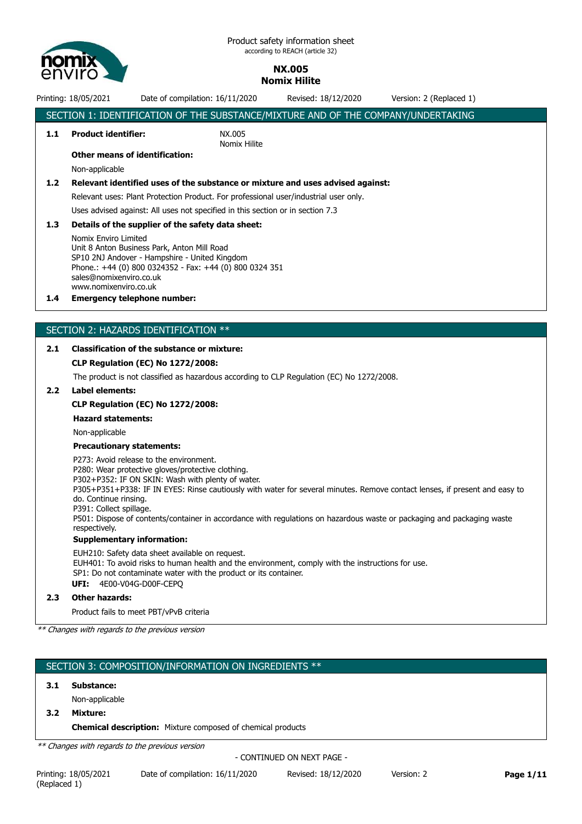

# Printing: 18/05/2021 Date of compilation: 16/11/2020 Revised: 18/12/2020 Version: 2 (Replaced 1) SECTION 1: IDENTIFICATION OF THE SUBSTANCE/MIXTURE AND OF THE COMPANY/UNDERTAKING **1.1 Product identifier:** NX.005 Nomix Hilite **Other means of identification:** Non-applicable **1.2 Relevant identified uses of the substance or mixture and uses advised against:** Relevant uses: Plant Protection Product. For professional user/industrial user only. Uses advised against: All uses not specified in this section or in section 7.3 **1.3 Details of the supplier of the safety data sheet:** Nomix Enviro Limited Unit 8 Anton Business Park, Anton Mill Road SP10 2NJ Andover - Hampshire - United Kingdom Phone.: +44 (0) 800 0324352 - Fax: +44 (0) 800 0324 351 sales@nomixenviro.co.uk www.nomixenviro.co.uk **1.4 Emergency telephone number:** SECTION 2: HAZARDS IDENTIFICATION \*\* **2.1 Classification of the substance or mixture: CLP Regulation (EC) No 1272/2008:** The product is not classified as hazardous according to CLP Regulation (EC) No 1272/2008. **2.2 Label elements: CLP Regulation (EC) No 1272/2008: Hazard statements:**

Non-applicable

#### **Precautionary statements:**

P273: Avoid release to the environment. P280: Wear protective gloves/protective clothing.

P302+P352: IF ON SKIN: Wash with plenty of water.

P305+P351+P338: IF IN EYES: Rinse cautiously with water for several minutes. Remove contact lenses, if present and easy to do. Continue rinsing.

P391: Collect spillage.

P501: Dispose of contents/container in accordance with regulations on hazardous waste or packaging and packaging waste respectively.

#### **Supplementary information:**

EUH210: Safety data sheet available on request. EUH401: To avoid risks to human health and the environment, comply with the instructions for use. SP1: Do not contaminate water with the product or its container.

**UFI:** 4E00-V04G-D00F-CEPQ

### **2.3 Other hazards:**

Product fails to meet PBT/vPvB criteria

*\*\* Changes with regards to the previous version*

# SECTION 3: COMPOSITION/INFORMATION ON INGREDIENTS \*\*

# **3.1 Substance:**

Non-applicable

**3.2 Mixture:**

**Chemical description:** Mixture composed of chemical products

*\*\* Changes with regards to the previous version*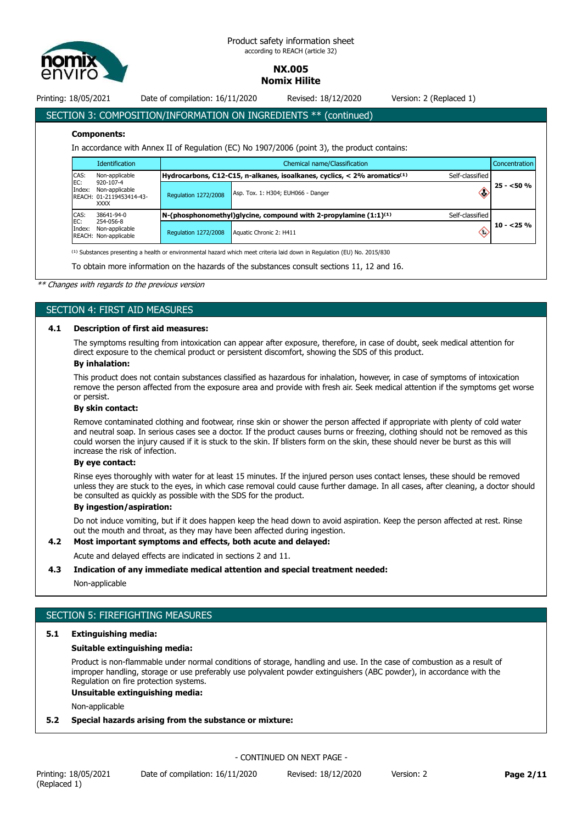

Printing: 18/05/2021 Date of compilation: 16/11/2020 Revised: 18/12/2020 Version: 2 (Replaced 1)

# SECTION 3: COMPOSITION/INFORMATION ON INGREDIENTS \*\* (continued)

#### **Components:**

In accordance with Annex II of Regulation (EC) No 1907/2006 (point 3), the product contains:

|               | <b>Identification</b>                                                  | Chemical name/Classification |                                                                                        |                         | <b>Concentration</b> |
|---------------|------------------------------------------------------------------------|------------------------------|----------------------------------------------------------------------------------------|-------------------------|----------------------|
| CAS:          | Non-applicable                                                         |                              | Hydrocarbons, C12-C15, n-alkanes, isoalkanes, cyclics, $<$ 2% aromatics <sup>(1)</sup> | Self-classified         |                      |
| EC:<br>Index: | 920-107-4<br>Non-applicable<br>REACH: 01-2119453414-43-<br><b>XXXX</b> | <b>Regulation 1272/2008</b>  | Asp. Tox. 1: H304; EUH066 - Danger                                                     | Œ                       | $25 - 50%$           |
| CAS:          | 38641-94-0                                                             |                              | $N$ -(phosphonomethyl)glycine, compound with 2-propylamine $(1:1)^{(1)}$               | Self-classified         |                      |
| EC:<br>Index: | 254-056-8<br>Non-applicable<br>REACH: Non-applicable                   | <b>Regulation 1272/2008</b>  | Aquatic Chronic 2: H411                                                                | $\langle \cdot \rangle$ | $10 - 25%$           |

<sup>(1)</sup> Substances presenting a health or environmental hazard which meet criteria laid down in Regulation (EU) No. 2015/830

To obtain more information on the hazards of the substances consult sections 11, 12 and 16.

#### *\*\* Changes with regards to the previous version*

#### SECTION 4: FIRST AID MEASURES

#### **4.1 Description of first aid measures:**

The symptoms resulting from intoxication can appear after exposure, therefore, in case of doubt, seek medical attention for direct exposure to the chemical product or persistent discomfort, showing the SDS of this product.

### **By inhalation:**

This product does not contain substances classified as hazardous for inhalation, however, in case of symptoms of intoxication remove the person affected from the exposure area and provide with fresh air. Seek medical attention if the symptoms get worse or persist.

# **By skin contact:**

Remove contaminated clothing and footwear, rinse skin or shower the person affected if appropriate with plenty of cold water and neutral soap. In serious cases see a doctor. If the product causes burns or freezing, clothing should not be removed as this could worsen the injury caused if it is stuck to the skin. If blisters form on the skin, these should never be burst as this will increase the risk of infection.

#### **By eye contact:**

Rinse eyes thoroughly with water for at least 15 minutes. If the injured person uses contact lenses, these should be removed unless they are stuck to the eyes, in which case removal could cause further damage. In all cases, after cleaning, a doctor should be consulted as quickly as possible with the SDS for the product.

#### **By ingestion/aspiration:**

Do not induce vomiting, but if it does happen keep the head down to avoid aspiration. Keep the person affected at rest. Rinse out the mouth and throat, as they may have been affected during ingestion.

#### **4.2 Most important symptoms and effects, both acute and delayed:**

Acute and delayed effects are indicated in sections 2 and 11.

#### **4.3 Indication of any immediate medical attention and special treatment needed:**

Non-applicable

# SECTION 5: FIREFIGHTING MEASURES

# **5.1 Extinguishing media:**

#### **Suitable extinguishing media:**

Product is non-flammable under normal conditions of storage, handling and use. In the case of combustion as a result of improper handling, storage or use preferably use polyvalent powder extinguishers (ABC powder), in accordance with the Regulation on fire protection systems.

#### **Unsuitable extinguishing media:**

Non-applicable

#### **5.2 Special hazards arising from the substance or mixture:**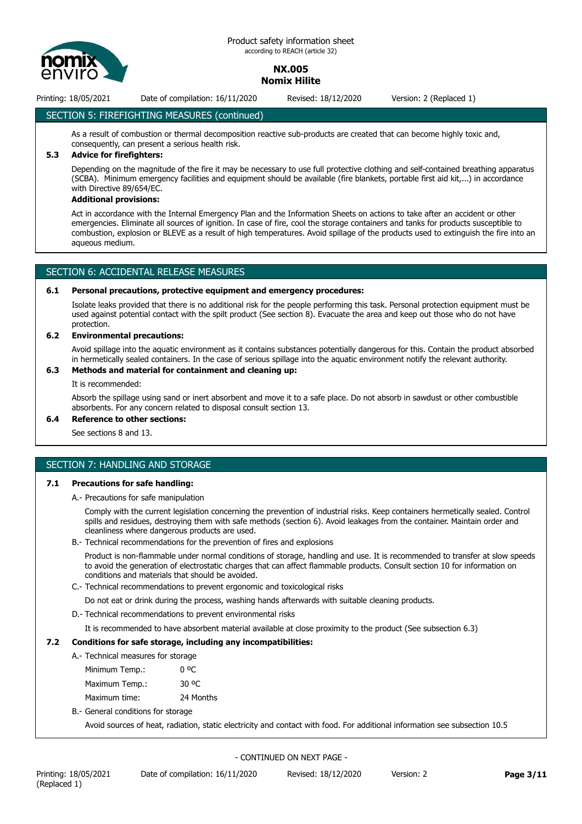

Printing: 18/05/2021 Date of compilation: 16/11/2020 Revised: 18/12/2020 Version: 2 (Replaced 1)

# SECTION 5: FIREFIGHTING MEASURES (continued)

As a result of combustion or thermal decomposition reactive sub-products are created that can become highly toxic and, consequently, can present a serious health risk.

# **5.3 Advice for firefighters:**

Depending on the magnitude of the fire it may be necessary to use full protective clothing and self-contained breathing apparatus (SCBA). Minimum emergency facilities and equipment should be available (fire blankets, portable first aid kit,...) in accordance with Directive 89/654/EC.

#### **Additional provisions:**

Act in accordance with the Internal Emergency Plan and the Information Sheets on actions to take after an accident or other emergencies. Eliminate all sources of ignition. In case of fire, cool the storage containers and tanks for products susceptible to combustion, explosion or BLEVE as a result of high temperatures. Avoid spillage of the products used to extinguish the fire into an aqueous medium.

# SECTION 6: ACCIDENTAL RELEASE MEASURES

#### **6.1 Personal precautions, protective equipment and emergency procedures:**

Isolate leaks provided that there is no additional risk for the people performing this task. Personal protection equipment must be used against potential contact with the spilt product (See section 8). Evacuate the area and keep out those who do not have protection.

#### **6.2 Environmental precautions:**

Avoid spillage into the aquatic environment as it contains substances potentially dangerous for this. Contain the product absorbed in hermetically sealed containers. In the case of serious spillage into the aquatic environment notify the relevant authority.

### **6.3 Methods and material for containment and cleaning up:**

It is recommended:

Absorb the spillage using sand or inert absorbent and move it to a safe place. Do not absorb in sawdust or other combustible absorbents. For any concern related to disposal consult section 13.

#### **6.4 Reference to other sections:**

See sections 8 and 13.

# SECTION 7: HANDLING AND STORAGE

#### **7.1 Precautions for safe handling:**

A.- Precautions for safe manipulation

Comply with the current legislation concerning the prevention of industrial risks. Keep containers hermetically sealed. Control spills and residues, destroying them with safe methods (section 6). Avoid leakages from the container. Maintain order and cleanliness where dangerous products are used.

B.- Technical recommendations for the prevention of fires and explosions

Product is non-flammable under normal conditions of storage, handling and use. It is recommended to transfer at slow speeds to avoid the generation of electrostatic charges that can affect flammable products. Consult section 10 for information on conditions and materials that should be avoided.

C.- Technical recommendations to prevent ergonomic and toxicological risks

Do not eat or drink during the process, washing hands afterwards with suitable cleaning products.

D.- Technical recommendations to prevent environmental risks

It is recommended to have absorbent material available at close proximity to the product (See subsection 6.3)

# **7.2 Conditions for safe storage, including any incompatibilities:**

- A.- Technical measures for storage
	- Minimum Temp.: 0 °C Maximum Temp.: 30 °C
	- Maximum time: 24 Months
- B.- General conditions for storage

Avoid sources of heat, radiation, static electricity and contact with food. For additional information see subsection 10.5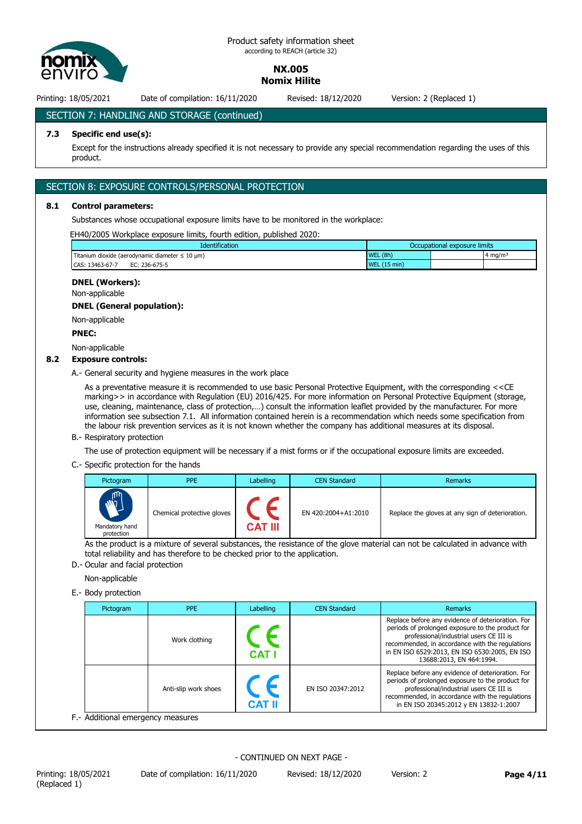

Printing: 18/05/2021 Date of compilation: 16/11/2020 Revised: 18/12/2020 Version: 2 (Replaced 1)

SECTION 7: HANDLING AND STORAGE (continued)

#### **7.3 Specific end use(s):**

Except for the instructions already specified it is not necessary to provide any special recommendation regarding the uses of this product.

# SECTION 8: EXPOSURE CONTROLS/PERSONAL PROTECTION

#### **8.1 Control parameters:**

Substances whose occupational exposure limits have to be monitored in the workplace:

EH40/2005 Workplace exposure limits, fourth edition, published 2020:

| <b>Identification</b>                                    | Occupational exposure limits |                    |
|----------------------------------------------------------|------------------------------|--------------------|
| Titanium dioxide (aerodynamic diameter $\leq 10 \mu m$ ) | WEL(8h)                      | $4 \text{ ma/m}^3$ |
| CAS: 13463-67-7<br>EC: 236-675-5                         | WEL $(15 \text{ min})$       |                    |

#### **DNEL (Workers):**

Non-applicable

#### **DNEL (General population):**

Non-applicable

#### **PNEC:**

Non-applicable

#### **8.2 Exposure controls:**

A.- General security and hygiene measures in the work place

As a preventative measure it is recommended to use basic Personal Protective Equipment, with the corresponding <<CE marking>> in accordance with Regulation (EU) 2016/425. For more information on Personal Protective Equipment (storage, use, cleaning, maintenance, class of protection,…) consult the information leaflet provided by the manufacturer. For more information see subsection 7.1. All information contained herein is a recommendation which needs some specification from the labour risk prevention services as it is not known whether the company has additional measures at its disposal.

#### B.- Respiratory protection

The use of protection equipment will be necessary if a mist forms or if the occupational exposure limits are exceeded.

C.- Specific protection for the hands

| Pictogram                                      | <b>PPE</b>                 | Labelling | <b>CEN Standard</b> | Remarks                                          |
|------------------------------------------------|----------------------------|-----------|---------------------|--------------------------------------------------|
| m<br>$\dot{w}$<br>Mandatory hand<br>protection | Chemical protective gloves | CAT III   | EN 420:2004+A1:2010 | Replace the gloves at any sign of deterioration. |

As the product is a mixture of several substances, the resistance of the glove material can not be calculated in advance with total reliability and has therefore to be checked prior to the application.

D.- Ocular and facial protection

Non-applicable

E.- Body protection

| Pictogram | <b>PPE</b>           | Labelling     | <b>CEN Standard</b> | Remarks                                                                                                                                                                                                                                                                          |
|-----------|----------------------|---------------|---------------------|----------------------------------------------------------------------------------------------------------------------------------------------------------------------------------------------------------------------------------------------------------------------------------|
|           | Work clothing        | <b>CAT I</b>  |                     | Replace before any evidence of deterioration. For<br>periods of prolonged exposure to the product for<br>professional/industrial users CE III is<br>recommended, in accordance with the regulations<br>in EN ISO 6529:2013, EN ISO 6530:2005, EN ISO<br>13688:2013, EN 464:1994. |
|           | Anti-slip work shoes | <b>CAT II</b> | EN ISO 20347:2012   | Replace before any evidence of deterioration. For<br>periods of prolonged exposure to the product for<br>professional/industrial users CE III is<br>recommended, in accordance with the regulations<br>in EN ISO 20345:2012 y EN 13832-1:2007                                    |

F.- Additional emergency measures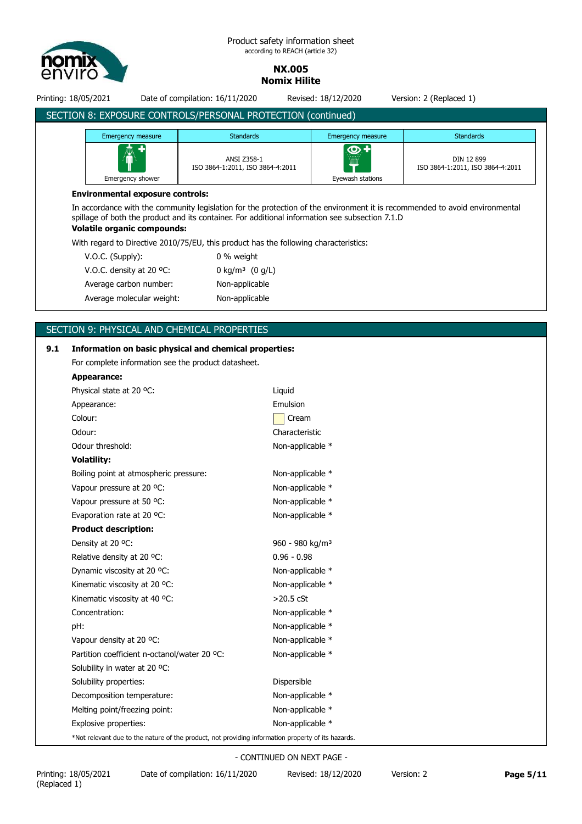

#### Product safety information sheet according to REACH (article 32)

**NX.005 Nomix Hilite**

Printing: 18/05/2021 Date of compilation: 16/11/2020 Revised: 18/12/2020 Version: 2 (Replaced 1)

| <b>Emergency measure</b>           | <b>Standards</b>                                                                                                                                                                                                               | <b>Emergency measure</b>  | <b>Standards</b>                               |
|------------------------------------|--------------------------------------------------------------------------------------------------------------------------------------------------------------------------------------------------------------------------------|---------------------------|------------------------------------------------|
|                                    | ANSI Z358-1<br>ISO 3864-1:2011, ISO 3864-4:2011                                                                                                                                                                                | $\bm{\Phi}$<br><u>iii</u> | DIN 12 899<br>ISO 3864-1:2011, ISO 3864-4:2011 |
| Emergency shower                   |                                                                                                                                                                                                                                | Eyewash stations          |                                                |
|                                    |                                                                                                                                                                                                                                |                           |                                                |
| <b>Volatile organic compounds:</b> | In accordance with the community legislation for the protection of the environment it is recommended to avoid environmental<br>spillage of both the product and its container. For additional information see subsection 7.1.D |                           |                                                |
|                                    | With regard to Directive 2010/75/EU, this product has the following characteristics:                                                                                                                                           |                           |                                                |
| $V.O.C.$ (Supply):                 | 0 % weight                                                                                                                                                                                                                     |                           |                                                |
| V.O.C. density at 20 °C:           | 0 kg/m <sup>3</sup> $(0 g/L)$                                                                                                                                                                                                  |                           |                                                |

# SECTION 9: PHYSICAL AND CHEMICAL PROPERTIES

Average molecular weight: Non-applicable

# **9.1 Information on basic physical and chemical properties:** For complete information see the product datasheet. **Appearance:** Physical state at 20 °C: Liquid Appearance: Emulsion Colour: Colour: Odour: Characteristic Odour threshold: Non-applicable \* **Volatility:** Boiling point at atmospheric pressure: Non-applicable \* Vapour pressure at 20 °C: Non-applicable \* Vapour pressure at 50 °C: Non-applicable \* Evaporation rate at 20 °C: Non-applicable \* **Product description:** Density at 20 °C: 960 - 980 kg/m<sup>3</sup> Relative density at 20 °C: 0.96 - 0.98 Dynamic viscosity at 20 °C: Non-applicable \* Kinematic viscosity at 20 °C: Non-applicable \* Kinematic viscosity at 40 °C:  $>$ 20.5 cSt Concentration: Non-applicable \* pH: Non-applicable \* Vapour density at 20 °C: Non-applicable \* Partition coefficient n-octanol/water 20 °C: Non-applicable \* Solubility in water at 20 °C: Solubility properties:  $\qquad \qquad$  Dispersible Decomposition temperature: Non-applicable \* Melting point/freezing point: Non-applicable \* Explosive properties: Non-applicable \* \*Not relevant due to the nature of the product, not providing information property of its hazards.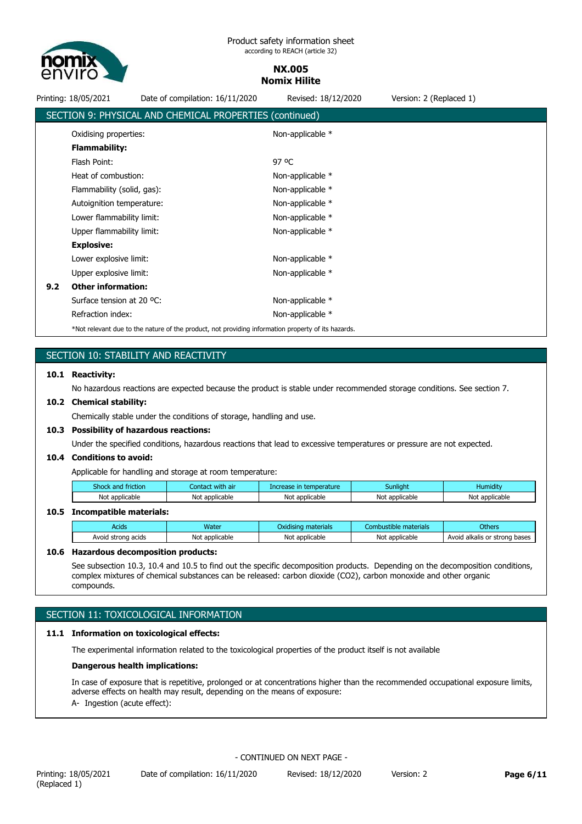

Printing: 18/05/2021 Date of compilation: 16/11/2020 Revised: 18/12/2020 Version: 2 (Replaced 1) SECTION 9: PHYSICAL AND CHEMICAL PROPERTIES (continued) Oxidising properties: Non-applicable \* **Flammability:** Flash Point: 97 °C Heat of combustion: Non-applicable \* Flammability (solid, gas): Non-applicable \* Autoignition temperature: Non-applicable \* Lower flammability limit: Non-applicable \* Upper flammability limit: Non-applicable \* **Explosive:** Lower explosive limit: Non-applicable \* Upper explosive limit: Non-applicable \* **9.2 Other information:** Surface tension at 20 °C: Non-applicable \*

# SECTION 10: STABILITY AND REACTIVITY

#### **10.1 Reactivity:**

No hazardous reactions are expected because the product is stable under recommended storage conditions. See section 7.

#### **10.2 Chemical stability:**

Chemically stable under the conditions of storage, handling and use.

Refraction index: Non-applicable \* \*Not relevant due to the nature of the product, not providing information property of its hazards.

#### **10.3 Possibility of hazardous reactions:**

Under the specified conditions, hazardous reactions that lead to excessive temperatures or pressure are not expected.

#### **10.4 Conditions to avoid:**

Applicable for handling and storage at room temperature:

| Shock and friction | Contact with<br>ı air | Increase in temperature | Sunliaht          | .<br>Humiditv  |
|--------------------|-----------------------|-------------------------|-------------------|----------------|
| Not applicable     | Not<br>applicable     | Not applicable          | applicable<br>Not | Not applicable |

#### **10.5 Incompatible materials:**

| Acids              | Water          | Oxidising materials | :ombustible<br>e materials | Others                        |
|--------------------|----------------|---------------------|----------------------------|-------------------------------|
| Avoid strong acids | Not applicable | Not applicable      | Not applicable             | Avoid alkalis or strong bases |

#### **10.6 Hazardous decomposition products:**

See subsection 10.3, 10.4 and 10.5 to find out the specific decomposition products. Depending on the decomposition conditions, complex mixtures of chemical substances can be released: carbon dioxide (CO2), carbon monoxide and other organic compounds.

# SECTION 11: TOXICOLOGICAL INFORMATION

#### **11.1 Information on toxicological effects:**

The experimental information related to the toxicological properties of the product itself is not available

#### **Dangerous health implications:**

In case of exposure that is repetitive, prolonged or at concentrations higher than the recommended occupational exposure limits, adverse effects on health may result, depending on the means of exposure: A- Ingestion (acute effect):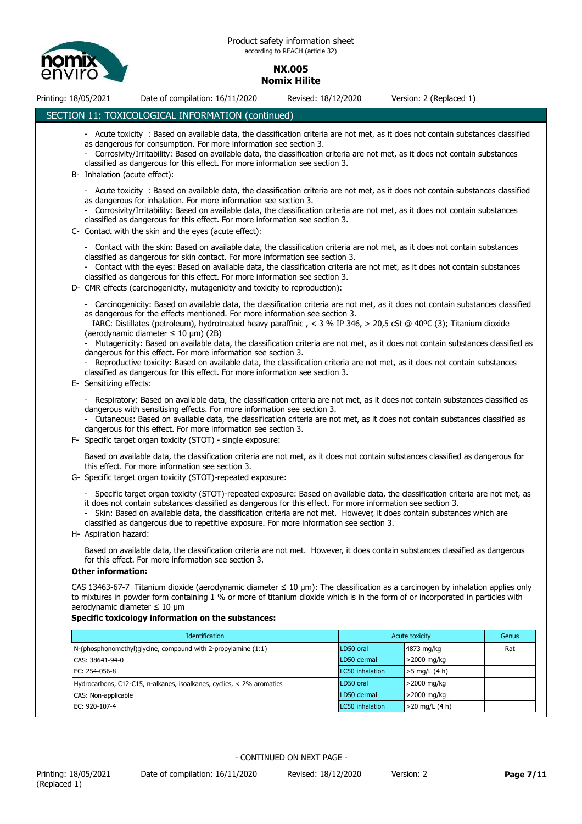

Printing: 18/05/2021 Date of compilation: 16/11/2020 Revised: 18/12/2020 Version: 2 (Replaced 1)

# SECTION 11: TOXICOLOGICAL INFORMATION (continued)

- Acute toxicity : Based on available data, the classification criteria are not met, as it does not contain substances classified as dangerous for consumption. For more information see section 3. - Corrosivity/Irritability: Based on available data, the classification criteria are not met, as it does not contain substances classified as dangerous for this effect. For more information see section 3. B- Inhalation (acute effect): - Acute toxicity : Based on available data, the classification criteria are not met, as it does not contain substances classified as dangerous for inhalation. For more information see section 3. - Corrosivity/Irritability: Based on available data, the classification criteria are not met, as it does not contain substances classified as dangerous for this effect. For more information see section 3. C- Contact with the skin and the eyes (acute effect): - Contact with the skin: Based on available data, the classification criteria are not met, as it does not contain substances classified as dangerous for skin contact. For more information see section 3. Contact with the eyes: Based on available data, the classification criteria are not met, as it does not contain substances classified as dangerous for this effect. For more information see section 3. D- CMR effects (carcinogenicity, mutagenicity and toxicity to reproduction): - Carcinogenicity: Based on available data, the classification criteria are not met, as it does not contain substances classified as dangerous for the effects mentioned. For more information see section 3. IARC: Distillates (petroleum), hydrotreated heavy paraffinic , < 3 % IP 346, > 20,5 cSt @ 40ºC (3); Titanium dioxide (aerodynamic diameter  $\leq 10$  um) (2B) - Mutagenicity: Based on available data, the classification criteria are not met, as it does not contain substances classified as dangerous for this effect. For more information see section 3. Reproductive toxicity: Based on available data, the classification criteria are not met, as it does not contain substances classified as dangerous for this effect. For more information see section 3. E- Sensitizing effects: - Respiratory: Based on available data, the classification criteria are not met, as it does not contain substances classified as dangerous with sensitising effects. For more information see section 3. - Cutaneous: Based on available data, the classification criteria are not met, as it does not contain substances classified as dangerous for this effect. For more information see section 3. F- Specific target organ toxicity (STOT) - single exposure: Based on available data, the classification criteria are not met, as it does not contain substances classified as dangerous for this effect. For more information see section 3. G- Specific target organ toxicity (STOT)-repeated exposure: - Specific target organ toxicity (STOT)-repeated exposure: Based on available data, the classification criteria are not met, as it does not contain substances classified as dangerous for this effect. For more information see section 3. - Skin: Based on available data, the classification criteria are not met. However, it does contain substances which are classified as dangerous due to repetitive exposure. For more information see section 3. H- Aspiration hazard: Based on available data, the classification criteria are not met. However, it does contain substances classified as dangerous for this effect. For more information see section 3. **Other information:** CAS 13463-67-7 Titanium dioxide (aerodynamic diameter  $\leq 10 \text{ }\mu\text{m}$ ): The classification as a carcinogen by inhalation applies only to mixtures in powder form containing 1 % or more of titanium dioxide which is in the form of or incorporated in particles with aerodynamic diameter ≤ 10 μm **Specific toxicology information on the substances: Identification Control Control Control Control Control Control Control Control Control Control Control Control Control Control Control Control Control Control Control Control Control Control Control Control Control Cont** N-(phosphonomethyl)glycine, compound with 2-propylamine (1:1) LD50 oral 4873 mg/kg Rat CAS: 38641-94-0 LD50 dermal >2000 mg/kg EC: 254-056-8 LC50 inhalation >5 mg/L (4 h) Hydrocarbons, C12-C15, n-alkanes, isoalkanes, cyclics, < 2% aromatics LD50 oral >2000 mg/kg CAS: Non-applicable LD50 dermal >2000 mg/kg

EC: 920-107-4 **LC50 inhalation**  $>$ 20 mg/L (4 h)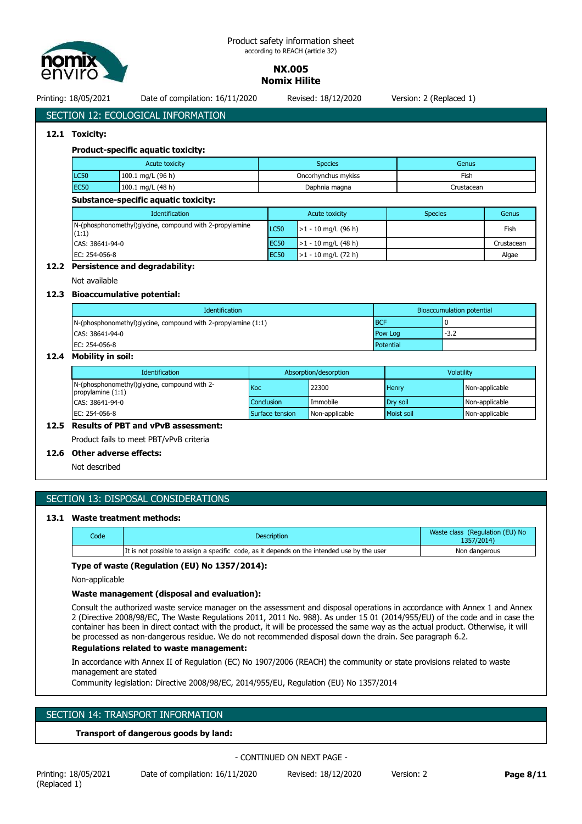

Printing: 18/05/2021 Date of compilation: 16/11/2020 Revised: 18/12/2020 Version: 2 (Replaced 1)

# SECTION 12: ECOLOGICAL INFORMATION

# **12.1 Toxicity:**

# **Product-specific aquatic toxicity:**

| <b>Acute toxicity</b> |                   | Species             | Genus      |
|-----------------------|-------------------|---------------------|------------|
| LC50                  | 100.1 mg/L (96 h) | Oncorhynchus mykiss | Fish       |
| <b>EC50</b>           | 100.1 mg/L (48 h) | Daphnia magna       | Irustacean |

#### **Substance-specific aquatic toxicity:**

| <b>Identification</b>                                            | Acute toxicity |                       | <b>Species</b> | Genus      |
|------------------------------------------------------------------|----------------|-----------------------|----------------|------------|
| N-(phosphonomethyl)glycine, compound with 2-propylamine<br>(1:1) | LC50           | $>1 - 10$ mg/L (96 h) |                | Fish       |
| CAS: 38641-94-0                                                  | EC50           | $>1 - 10$ mg/L (48 h) |                | Crustacean |
| EC: 254-056-8                                                    | <b>EC50</b>    | $>1 - 10$ mg/L (72 h) |                | Algae      |

#### **12.2 Persistence and degradability:**

Not available

# **12.3 Bioaccumulative potential:**

| <b>Identification</b>                                              |            | Bioaccumulation potential |
|--------------------------------------------------------------------|------------|---------------------------|
| $N$ -(phosphonomethyl)glycine, compound with 2-propylamine $(1:1)$ | <b>BCF</b> |                           |
| CAS: 38641-94-0                                                    | Pow Log    | $-3.2$                    |
| EC: 254-056-8                                                      | Potential  |                           |

# **12.4 Mobility in soil:**

| <b>Identification</b>                                               | Absorption/desorption |                | Volatility        |                |
|---------------------------------------------------------------------|-----------------------|----------------|-------------------|----------------|
| N-(phosphonomethyl)glycine, compound with 2-<br>propylamine $(1:1)$ | Koc                   | 22300          | Henry             | Non-applicable |
| CAS: 38641-94-0                                                     | <b>Conclusion</b>     | Immobile       | Drv soil          | Non-applicable |
| EC: 254-056-8                                                       | Surface tension       | Non-applicable | <b>Moist soil</b> | Non-applicable |

# **12.5 Results of PBT and vPvB assessment:**

Product fails to meet PBT/vPvB criteria

# **12.6 Other adverse effects:**

Not described

# SECTION 13: DISPOSAL CONSIDERATIONS

# **13.1 Waste treatment methods:**

| Code | <b>Description</b>                                                                          | Waste class (Regulation (EU) No<br>1357/2014) |
|------|---------------------------------------------------------------------------------------------|-----------------------------------------------|
|      | It is not possible to assign a specific code, as it depends on the intended use by the user | Non dangerous                                 |

# **Type of waste (Regulation (EU) No 1357/2014):**

Non-applicable

### **Waste management (disposal and evaluation):**

Consult the authorized waste service manager on the assessment and disposal operations in accordance with Annex 1 and Annex 2 (Directive 2008/98/EC, The Waste Regulations 2011, 2011 No. 988). As under 15 01 (2014/955/EU) of the code and in case the container has been in direct contact with the product, it will be processed the same way as the actual product. Otherwise, it will be processed as non-dangerous residue. We do not recommended disposal down the drain. See paragraph 6.2.

### **Regulations related to waste management:**

In accordance with Annex II of Regulation (EC) No 1907/2006 (REACH) the community or state provisions related to waste management are stated

Community legislation: Directive 2008/98/EC, 2014/955/EU, Regulation (EU) No 1357/2014

# SECTION 14: TRANSPORT INFORMATION

**Transport of dangerous goods by land:**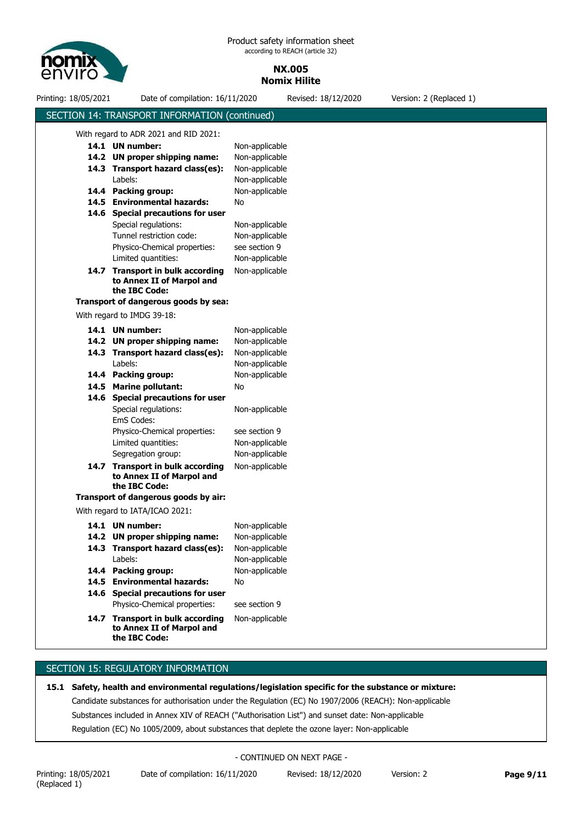

Printing: 18/05/2021 Date of compilation: 16/11/2020 Revised: 18/12/2020 Version: 2 (Replaced 1) SECTION 14: TRANSPORT INFORMATION (continued) With regard to ADR 2021 and RID 2021: 14.7 Transport in bulk according Non-applicable **to Annex II of Marpol and the IBC Code:** 14.6 Special precautions for user **14.5 Environmental hazards:** No Tunnel restriction code: Non-applicable **14.4 Packing group: 14.3 Transport hazard class(es): 14.2 UN proper shipping name: 14.1 UN number:** Labels: Special regulations: Physico-Chemical properties: Non-applicable Non-applicable Non-applicable Non-applicable Non-applicable Non-applicable see section 9 Limited quantities: Non-applicable **Transport of dangerous goods by sea:** With regard to IMDG 39-18: Limited quantities: Non-applicable 14.7 Transport in bulk according Non-applicable **to Annex II of Marpol and the IBC Code:** 14.6 Special precautions for user **14.5 Marine pollutant:** No EmS Codes: **14.4 Packing group: 14.3 Transport hazard class(es): 14.2 UN proper shipping name: 14.1 UN number:** Labels: Special regulations: Physico-Chemical properties: Non-applicable Non-applicable Non-applicable Non-applicable Non-applicable Non-applicable see section 9 Segregation group: Non-applicable **Transport of dangerous goods by air:** With regard to IATA/ICAO 2021: **14.6 Special precautions for user 14.4 Packing group:** Non-applicable **14.3 Transport hazard class(es):** Non-applicable **14.2 UN proper shipping name:** Non-applicable **14.1** Physico-Chemical properties: see section 9 Labels: Non-applicable **Non-applicable 14.5 Environmental hazards:** No 14.7 Transport in bulk according Non-applicable **to Annex II of Marpol and the IBC Code:**

# **SECTION 15: REGULATORY INFORMATION**

# **15.1 Safety, health and environmental regulations/legislation specific for the substance or mixture:**

Candidate substances for authorisation under the Regulation (EC) No 1907/2006 (REACH): Non-applicable Substances included in Annex XIV of REACH ("Authorisation List") and sunset date: Non-applicable Regulation (EC) No 1005/2009, about substances that deplete the ozone layer: Non-applicable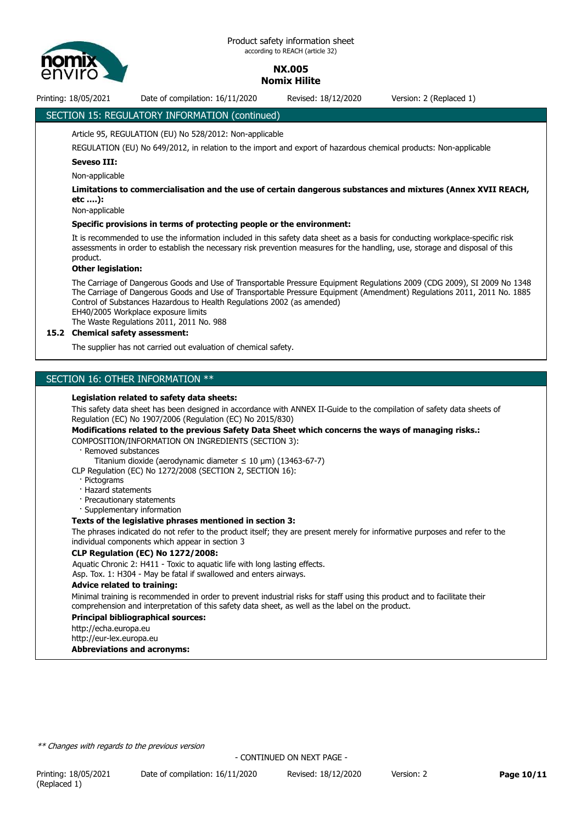

Printing: 18/05/2021 Date of compilation: 16/11/2020 Revised: 18/12/2020 Version: 2 (Replaced 1)

# SECTION 15: REGULATORY INFORMATION (continued)

#### Article 95, REGULATION (EU) No 528/2012: Non-applicable

REGULATION (EU) No 649/2012, in relation to the import and export of hazardous chemical products: Non-applicable

#### **Seveso III:**

Non-applicable

#### **Limitations to commercialisation and the use of certain dangerous substances and mixtures (Annex XVII REACH, etc ….):**

Non-applicable

#### **Specific provisions in terms of protecting people or the environment:**

It is recommended to use the information included in this safety data sheet as a basis for conducting workplace-specific risk assessments in order to establish the necessary risk prevention measures for the handling, use, storage and disposal of this product.

#### **Other legislation:**

The Carriage of Dangerous Goods and Use of Transportable Pressure Equipment Regulations 2009 (CDG 2009), SI 2009 No 1348 The Carriage of Dangerous Goods and Use of Transportable Pressure Equipment (Amendment) Regulations 2011, 2011 No. 1885 Control of Substances Hazardous to Health Regulations 2002 (as amended) EH40/2005 Workplace exposure limits The Waste Regulations 2011, 2011 No. 988

#### **15.2 Chemical safety assessment:**

The supplier has not carried out evaluation of chemical safety.

# SECTION 16: OTHER INFORMATION \*\*

#### **Legislation related to safety data sheets:**

This safety data sheet has been designed in accordance with ANNEX II-Guide to the compilation of safety data sheets of Regulation (EC) No 1907/2006 (Regulation (EC) No 2015/830)

#### **Modifications related to the previous Safety Data Sheet which concerns the ways of managing risks.:**

COMPOSITION/INFORMATION ON INGREDIENTS (SECTION 3):

Removed substances

Titanium dioxide (aerodynamic diameter  $\leq 10$  µm) (13463-67-7)

CLP Regulation (EC) No 1272/2008 (SECTION 2, SECTION 16):

- · Pictograms
- · Hazard statements
- · Precautionary statements
- · Supplementary information

#### **Texts of the legislative phrases mentioned in section 3:**

The phrases indicated do not refer to the product itself; they are present merely for informative purposes and refer to the individual components which appear in section 3

#### **CLP Regulation (EC) No 1272/2008:**

Aquatic Chronic 2: H411 - Toxic to aquatic life with long lasting effects. Asp. Tox. 1: H304 - May be fatal if swallowed and enters airways.

#### **Advice related to training:**

Minimal training is recommended in order to prevent industrial risks for staff using this product and to facilitate their comprehension and interpretation of this safety data sheet, as well as the label on the product.

#### **Principal bibliographical sources:**

http://echa.europa.eu

http://eur-lex.europa.eu

**Abbreviations and acronyms:**

*\*\* Changes with regards to the previous version*